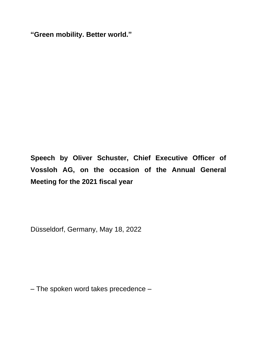**"Green mobility. Better world."**

**Speech by Oliver Schuster, Chief Executive Officer of Vossloh AG, on the occasion of the Annual General Meeting for the 2021 fiscal year**

Düsseldorf, Germany, May 18, 2022

– The spoken word takes precedence –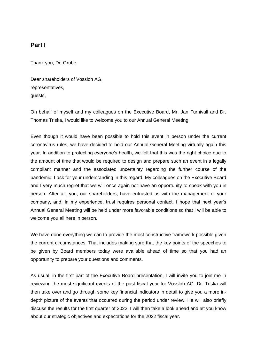## **Part I**

Thank you, Dr. Grube.

Dear shareholders of Vossloh AG, representatives, guests,

On behalf of myself and my colleagues on the Executive Board, Mr. Jan Furnivall and Dr. Thomas Triska, I would like to welcome you to our Annual General Meeting.

Even though it would have been possible to hold this event in person under the current coronavirus rules, we have decided to hold our Annual General Meeting virtually again this year. In addition to protecting everyone's health, we felt that this was the right choice due to the amount of time that would be required to design and prepare such an event in a legally compliant manner and the associated uncertainty regarding the further course of the pandemic. I ask for your understanding in this regard. My colleagues on the Executive Board and I very much regret that we will once again not have an opportunity to speak with you in person. After all, you, our shareholders, have entrusted us with the management of your company, and, in my experience, trust requires personal contact. I hope that next year's Annual General Meeting will be held under more favorable conditions so that I will be able to welcome you all here in person.

We have done everything we can to provide the most constructive framework possible given the current circumstances. That includes making sure that the key points of the speeches to be given by Board members today were available ahead of time so that you had an opportunity to prepare your questions and comments.

As usual, in the first part of the Executive Board presentation, I will invite you to join me in reviewing the most significant events of the past fiscal year for Vossloh AG. Dr. Triska will then take over and go through some key financial indicators in detail to give you a more indepth picture of the events that occurred during the period under review. He will also briefly discuss the results for the first quarter of 2022. I will then take a look ahead and let you know about our strategic objectives and expectations for the 2022 fiscal year.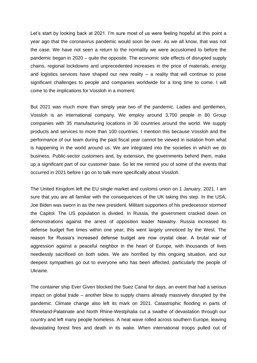Let's start by looking back at 2021. I'm sure most of us were feeling hopeful at this point a year ago that the coronavirus pandemic would soon be over. As we all know, that was not the case. We have not seen a return to the normality we were accustomed to before the pandemic began in 2020 – quite the opposite. The economic side effects of disrupted supply chains, regional lockdowns and unprecedented increases in the price of materials, energy and logistics services have shaped our new reality – a reality that will continue to pose significant challenges to people and companies worldwide for a long time to come. I will come to the implications for Vossloh in a moment.

But 2021 was much more than simply year two of the pandemic. Ladies and gentlemen, Vossloh is an international company. We employ around 3,700 people in 80 Group companies with 35 manufacturing locations in 30 countries around the world. We supply products and services to more than 100 countries. I mention this because Vossloh and the performance of our team during the past fiscal year cannot be viewed in isolation from what is happening in the world around us. We are integrated into the societies in which we do business. Public-sector customers and, by extension, the governments behind them, make up a significant part of our customer base. So let me remind you of some of the events that occurred in 2021 before I go on to talk more specifically about Vossloh.

The United Kingdom left the EU single market and customs union on 1 January, 2021. I am sure that you are all familiar with the consequences of the UK taking this step. In the USA, Joe Biden was sworn in as the new president. Militant supporters of his predecessor stormed the Capitol. The US population is divided. In Russia, the government cracked down on demonstrations against the arrest of opposition leader Nawalny. Russia increased its defense budget five times within one year; this went largely unnoticed by the West. The reason for Russia's increased defense budget are now crystal clear. A brutal war of aggression against a peaceful neighbor in the heart of Europe, with thousands of lives needlessly sacrificed on both sides. We are horrified by this ongoing situation, and our deepest sympathies go out to everyone who has been affected, particularly the people of Ukraine.

The container ship Ever Given blocked the Suez Canal for days, an event that had a serious impact on global trade – another blow to supply chains already massively disrupted by the pandemic. Climate change also left its mark on 2021. Catastrophic flooding in parts of Rhineland-Palatinate and North Rhine-Westphalia cut a swathe of devastation through our country and left many people homeless. A heat wave rolled across southern Europe, leaving devastating forest fires and death in its wake. When international troops pulled out of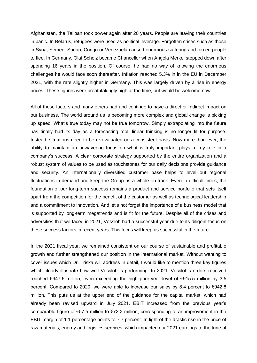Afghanistan, the Taliban took power again after 20 years. People are leaving their countries in panic. In Belarus, refugees were used as political leverage. Forgotten crises such as those in Syria, Yemen, Sudan, Congo or Venezuela caused enormous suffering and forced people to flee. In Germany, Olaf Scholz became Chancellor when Angela Merkel stepped down after spending 16 years in the position. Of course, he had no way of knowing the enormous challenges he would face soon thereafter. Inflation reached 5.3% in in the EU in December 2021, with the rate slightly higher in Germany. This was largely driven by a rise in energy prices. These figures were breathtakingly high at the time, but would be welcome now.

All of these factors and many others had and continue to have a direct or indirect impact on our business. The world around us is becoming more complex and global change is picking up speed. What's true today may not be true tomorrow. Simply extrapolating into the future has finally had its day as a forecasting tool; linear thinking is no longer fit for purpose. Instead, situations need to be re-evaluated on a consistent basis. Now more than ever, the ability to maintain an unwavering focus on what is truly important plays a key role in a company's success. A clear corporate strategy supported by the entire organization and a robust system of values to be used as touchstones for our daily decisions provide guidance and security. An internationally diversified customer base helps to level out regional fluctuations in demand and keep the Group as a whole on track. Even in difficult times, the foundation of our long-term success remains a product and service portfolio that sets itself apart from the competition for the benefit of the customer as well as technological leadership and a commitment to innovation. And let's not forget the importance of a business model that is supported by long-term megatrends and is fit for the future. Despite all of the crises and adversities that we faced in 2021, Vossloh had a successful year due to its diligent focus on these success factors in recent years. This focus will keep us successful in the future.

In the 2021 fiscal year, we remained consistent on our course of sustainable and profitable growth and further strengthened our position in the international market. Without wanting to cover issues which Dr. Triska will address in detail, I would like to mention three key figures which clearly illustrate how well Vossloh is performing: In 2021, Vossloh's orders received reached €947.6 million, even exceeding the high prior-year level of €915.5 million by 3.5 percent. Compared to 2020, we were able to increase our sales by 8.4 percent to  $\epsilon$ 942.8 million. This puts us at the upper end of the guidance for the capital market, which had already been revised upward in July 2021. EBIT increased from the previous year's comparable figure of €57.5 million to €72.3 million, corresponding to an improvement in the EBIT margin of 1.1 percentage points to 7.7 percent. In light of the drastic rise in the price of raw materials, energy and logistics services, which impacted our 2021 earnings to the tune of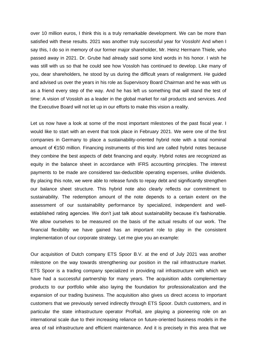over 10 million euros, I think this is a truly remarkable development. We can be more than satisfied with these results. 2021 was another truly successful year for Vossloh! And when I say this, I do so in memory of our former major shareholder, Mr. Heinz Hermann Thiele, who passed away in 2021. Dr. Grube had already said some kind words in his honor. I wish he was still with us so that he could see how Vossloh has continued to develop. Like many of you, dear shareholders, he stood by us during the difficult years of realignment. He guided and advised us over the years in his role as Supervisory Board Chairman and he was with us as a friend every step of the way. And he has left us something that will stand the test of time: A vision of Vossloh as a leader in the global market for rail products and services. And the Executive Board will not let up in our efforts to make this vision a reality.

Let us now have a look at some of the most important milestones of the past fiscal year. I would like to start with an event that took place in February 2021. We were one of the first companies in Germany to place a sustainability-oriented hybrid note with a total nominal amount of €150 million. Financing instruments of this kind are called hybrid notes because they combine the best aspects of debt financing and equity. Hybrid notes are recognized as equity in the balance sheet in accordance with IFRS accounting principles. The interest payments to be made are considered tax-deductible operating expenses, unlike dividends. By placing this note, we were able to release funds to repay debt and significantly strengthen our balance sheet structure. This hybrid note also clearly reflects our commitment to sustainability. The redemption amount of the note depends to a certain extent on the assessment of our sustainability performance by specialized, independent and wellestablished rating agencies. We don't just talk about sustainability because it's fashionable. We allow ourselves to be measured on the basis of the actual results of our work. The financial flexibility we have gained has an important role to play in the consistent implementation of our corporate strategy. Let me give you an example:

Our acquisition of Dutch company ETS Spoor B.V. at the end of July 2021 was another milestone on the way towards strengthening our position in the rail infrastructure market. ETS Spoor is a trading company specialized in providing rail infrastructure with which we have had a successful partnership for many years. The acquisition adds complementary products to our portfolio while also laying the foundation for professionalization and the expansion of our trading business. The acquisition also gives us direct access to important customers that we previously served indirectly through ETS Spoor. Dutch customers, and in particular the state infrastructure operator ProRail, are playing a pioneering role on an international scale due to their increasing reliance on future-oriented business models in the area of rail infrastructure and efficient maintenance. And it is precisely in this area that we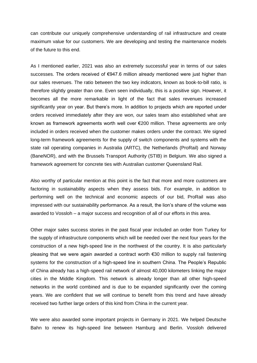can contribute our uniquely comprehensive understanding of rail infrastructure and create maximum value for our customers. We are developing and testing the maintenance models of the future to this end.

As I mentioned earlier, 2021 was also an extremely successful year in terms of our sales successes. The orders received of €947.6 million already mentioned were just higher than our sales revenues. The ratio between the two key indicators, known as book-to-bill ratio, is therefore slightly greater than one. Even seen individually, this is a positive sign. However, it becomes all the more remarkable in light of the fact that sales revenues increased significantly year on year. But there's more. In addition to projects which are reported under orders received immediately after they are won, our sales team also established what are known as framework agreements worth well over €200 million. These agreements are only included in orders received when the customer makes orders under the contract. We signed long-term framework agreements for the supply of switch components and systems with the state rail operating companies in Australia (ARTC), the Netherlands (ProRail) and Norway (BaneNOR), and with the Brussels Transport Authority (STIB) in Belgium. We also signed a framework agreement for concrete ties with Australian customer Queensland Rail.

Also worthy of particular mention at this point is the fact that more and more customers are factoring in sustainability aspects when they assess bids. For example, in addition to performing well on the technical and economic aspects of our bid, ProRail was also impressed with our sustainability performance. As a result, the lion's share of the volume was awarded to Vossloh – a major success and recognition of all of our efforts in this area.

Other major sales success stories in the past fiscal year included an order from Turkey for the supply of infrastructure components which will be needed over the next four years for the construction of a new high-speed line in the northwest of the country. It is also particularly pleasing that we were again awarded a contract worth €30 million to supply rail fastening systems for the construction of a high-speed line in southern China. The People's Republic of China already has a high-speed rail network of almost 40,000 kilometers linking the major cities in the Middle Kingdom. This network is already longer than all other high-speed networks in the world combined and is due to be expanded significantly over the coming years. We are confident that we will continue to benefit from this trend and have already received two further large orders of this kind from China in the current year.

We were also awarded some important projects in Germany in 2021. We helped Deutsche Bahn to renew its high-speed line between Hamburg and Berlin. Vossloh delivered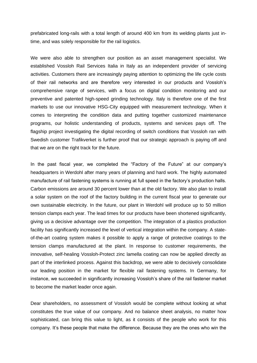prefabricated long-rails with a total length of around 400 km from its welding plants just intime, and was solely responsible for the rail logistics.

We were also able to strengthen our position as an asset management specialist. We established Vossloh Rail Services Italia in Italy as an independent provider of servicing activities. Customers there are increasingly paying attention to optimizing the life cycle costs of their rail networks and are therefore very interested in our products and Vossloh's comprehensive range of services, with a focus on digital condition monitoring and our preventive and patented high-speed grinding technology. Italy is therefore one of the first markets to use our innovative HSG-City equipped with measurement technology. When it comes to interpreting the condition data and putting together customized maintenance programs, our holistic understanding of products, systems and services pays off. The flagship project investigating the digital recording of switch conditions that Vossloh ran with Swedish customer Trafikverket is further proof that our strategic approach is paying off and that we are on the right track for the future.

In the past fiscal year, we completed the "Factory of the Future" at our company's headquarters in Werdohl after many years of planning and hard work. The highly automated manufacture of rail fastening systems is running at full speed in the factory's production halls. Carbon emissions are around 30 percent lower than at the old factory. We also plan to install a solar system on the roof of the factory building in the current fiscal year to generate our own sustainable electricity. In the future, our plant in Werdohl will produce up to 50 million tension clamps each year. The lead times for our products have been shortened significantly, giving us a decisive advantage over the competition. The integration of a plastics production facility has significantly increased the level of vertical integration within the company. A stateof-the-art coating system makes it possible to apply a range of protective coatings to the tension clamps manufactured at the plant. In response to customer requirements, the innovative, self-healing Vossloh-Protect zinc lamella coating can now be applied directly as part of the interlinked process. Against this backdrop, we were able to decisively consolidate our leading position in the market for flexible rail fastening systems. In Germany, for instance, we succeeded in significantly increasing Vossloh's share of the rail fastener market to become the market leader once again.

Dear shareholders, no assessment of Vossloh would be complete without looking at what constitutes the true value of our company. And no balance sheet analysis, no matter how sophisticated, can bring this value to light, as it consists of the people who work for this company. It's these people that make the difference. Because they are the ones who win the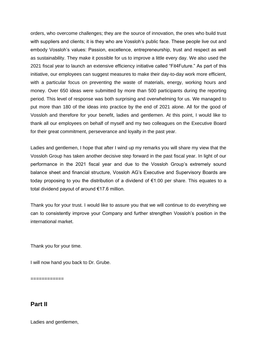orders, who overcome challenges; they are the source of innovation, the ones who build trust with suppliers and clients; it is they who are Vossloh's public face. These people live out and embody Vossloh's values: Passion, excellence, entrepreneurship, trust and respect as well as sustainability. They make it possible for us to improve a little every day. We also used the 2021 fiscal year to launch an extensive efficiency initiative called "Fit4Future." As part of this initiative, our employees can suggest measures to make their day-to-day work more efficient, with a particular focus on preventing the waste of materials, energy, working hours and money. Over 650 ideas were submitted by more than 500 participants during the reporting period. This level of response was both surprising and overwhelming for us. We managed to put more than 180 of the ideas into practice by the end of 2021 alone. All for the good of Vossloh and therefore for your benefit, ladies and gentlemen. At this point, I would like to thank all our employees on behalf of myself and my two colleagues on the Executive Board for their great commitment, perseverance and loyalty in the past year.

Ladies and gentlemen, I hope that after I wind up my remarks you will share my view that the Vossloh Group has taken another decisive step forward in the past fiscal year. In light of our performance in the 2021 fiscal year and due to the Vossloh Group's extremely sound balance sheet and financial structure, Vossloh AG's Executive and Supervisory Boards are today proposing to you the distribution of a dividend of €1.00 per share. This equates to a total dividend payout of around €17.6 million.

Thank you for your trust. I would like to assure you that we will continue to do everything we can to consistently improve your Company and further strengthen Vossloh's position in the international market.

Thank you for your time.

I will now hand you back to Dr. Grube.

============

## **Part II**

Ladies and gentlemen,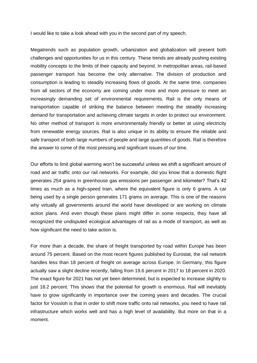I would like to take a look ahead with you in the second part of my speech.

Megatrends such as population growth, urbanization and globalization will present both challenges and opportunities for us in this century. These trends are already pushing existing mobility concepts to the limits of their capacity and beyond. In metropolitan areas, rail-based passenger transport has become the only alternative. The division of production and consumption is leading to steadily increasing flows of goods. At the same time, companies from all sectors of the economy are coming under more and more pressure to meet an increasingly demanding set of environmental requirements. Rail is the only means of transportation capable of striking the balance between meeting the steadily increasing demand for transportation and achieving climate targets in order to protect our environment. No other method of transport is more environmentally friendly or better at using electricity from renewable energy sources. Rail is also unique in its ability to ensure the reliable and safe transport of both large numbers of people and large quantities of goods. Rail is therefore the answer to some of the most pressing and significant issues of our time.

Our efforts to limit global warming won't be successful unless we shift a significant amount of road and air traffic onto our rail networks. For example, did you know that a domestic flight generates 254 grams in greenhouse gas emissions per passenger and kilometer? That's 42 times as much as a high-speed train, where the equivalent figure is only 6 grams. A car being used by a single person generates 171 grams on average. This is one of the reasons why virtually all governments around the world have developed or are working on climate action plans. And even though these plans might differ in some respects, they have all recognized the undisputed ecological advantages of rail as a mode of transport, as well as how significant the need to take action is.

For more than a decade, the share of freight transported by road within Europe has been around 75 percent. Based on the most recent figures published by Eurostat, the rail network handles less than 18 percent of freight on average across Europe. In Germany, this figure actually saw a slight decline recently, falling from 19.6 percent in 2017 to 18 percent in 2020. The exact figure for 2021 has not yet been determined, but is expected to increase slightly to just 18.2 percent. This shows that the potential for growth is enormous. Rail will inevitably have to grow significantly in importance over the coming years and decades. The crucial factor for Vossloh is that in order to shift more traffic onto rail networks, you need to have rail infrastructure which works well and has a high level of availability. But more on that in a moment.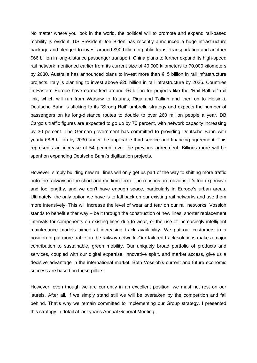No matter where you look in the world, the political will to promote and expand rail-based mobility is evident. US President Joe Biden has recently announced a huge infrastructure package and pledged to invest around \$90 billion in public transit transportation and another \$66 billion in long-distance passenger transport. China plans to further expand its high-speed rail network mentioned earlier from its current size of 40,000 kilometers to 70,000 kilometers by 2030. Australia has announced plans to invest more than €15 billion in rail infrastructure projects. Italy is planning to invest above €25 billion in rail infrastructure by 2026. Countries in Eastern Europe have earmarked around €6 billion for projects like the "Rail Baltica" rail link, which will run from Warsaw to Kaunas, Riga and Tallinn and then on to Helsinki. Deutsche Bahn is sticking to its "Strong Rail" umbrella strategy and expects the number of passengers on its long-distance routes to double to over 260 million people a year. DB Cargo's traffic figures are expected to go up by 70 percent, with network capacity increasing by 30 percent. The German government has committed to providing Deutsche Bahn with yearly €8.6 billion by 2030 under the applicable third service and financing agreement. This represents an increase of 54 percent over the previous agreement. Billions more will be spent on expanding Deutsche Bahn's digitization projects.

However, simply building new rail lines will only get us part of the way to shifting more traffic onto the railways in the short and medium term. The reasons are obvious. It's too expensive and too lengthy, and we don't have enough space, particularly in Europe's urban areas. Ultimately, the only option we have is to fall back on our existing rail networks and use them more intensively. This will increase the level of wear and tear on our rail networks. Vossloh stands to benefit either way – be it through the construction of new lines, shorter replacement intervals for components on existing lines due to wear, or the use of increasingly intelligent maintenance models aimed at increasing track availability. We put our customers in a position to put more traffic on the railway network. Our tailored track solutions make a major contribution to sustainable, green mobility. Our uniquely broad portfolio of products and services, coupled with our digital expertise, innovative spirit, and market access, give us a decisive advantage in the international market. Both Vossloh's current and future economic success are based on these pillars.

However, even though we are currently in an excellent position, we must not rest on our laurels. After all, if we simply stand still we will be overtaken by the competition and fall behind. That's why we remain committed to implementing our Group strategy. I presented this strategy in detail at last year's Annual General Meeting.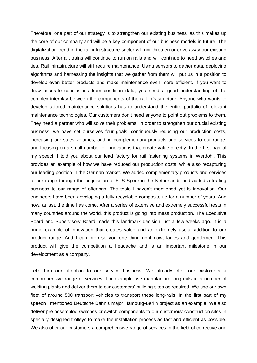Therefore, one part of our strategy is to strengthen our existing business, as this makes up the core of our company and will be a key component of our business models in future. The digitalization trend in the rail infrastructure sector will not threaten or drive away our existing business. After all, trains will continue to run on rails and will continue to need switches and ties. Rail infrastructure will still require maintenance. Using sensors to gather data, deploying algorithms and harnessing the insights that we gather from them will put us in a position to develop even better products and make maintenance even more efficient. If you want to draw accurate conclusions from condition data, you need a good understanding of the complex interplay between the components of the rail infrastructure. Anyone who wants to develop tailored maintenance solutions has to understand the entire portfolio of relevant maintenance technologies. Our customers don't need anyone to point out problems to them. They need a partner who will solve their problems. In order to strengthen our crucial existing business, we have set ourselves four goals: continuously reducing our production costs, increasing our sales volumes, adding complementary products and services to our range, and focusing on a small number of innovations that create value directly. In the first part of my speech I told you about our lead factory for rail fastening systems in Werdohl. This provides an example of how we have reduced our production costs, while also recapturing our leading position in the German market. We added complementary products and services to our range through the acquisition of ETS Spoor in the Netherlands and added a trading business to our range of offerings. The topic I haven't mentioned yet is innovation. Our engineers have been developing a fully recyclable composite tie for a number of years. And now, at last, the time has come. After a series of extensive and extremely successful tests in many countries around the world, this product is going into mass production. The Executive Board and Supervisory Board made this landmark decision just a few weeks ago. It is a prime example of innovation that creates value and an extremely useful addition to our product range. And I can promise you one thing right now, ladies and gentlemen: This product will give the competition a headache and is an important milestone in our development as a company.

Let's turn our attention to our service business. We already offer our customers a comprehensive range of services. For example, we manufacture long-rails at a number of welding plants and deliver them to our customers' building sites as required. We use our own fleet of around 500 transport vehicles to transport these long-rails. In the first part of my speech I mentioned Deutsche Bahn's major Hamburg-Berlin project as an example. We also deliver pre-assembled switches or switch components to our customers' construction sites in specially designed trolleys to make the installation process as fast and efficient as possible. We also offer our customers a comprehensive range of services in the field of corrective and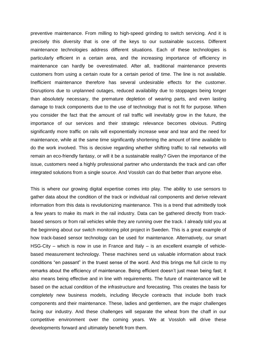preventive maintenance. From milling to high-speed grinding to switch servicing. And it is precisely this diversity that is one of the keys to our sustainable success. Different maintenance technologies address different situations. Each of these technologies is particularly efficient in a certain area, and the increasing importance of efficiency in maintenance can hardly be overestimated. After all, traditional maintenance prevents customers from using a certain route for a certain period of time. The line is not available. Inefficient maintenance therefore has several undesirable effects for the customer. Disruptions due to unplanned outages, reduced availability due to stoppages being longer than absolutely necessary, the premature depletion of wearing parts, and even lasting damage to track components due to the use of technology that is not fit for purpose. When you consider the fact that the amount of rail traffic will inevitably grow in the future, the importance of our services and their strategic relevance becomes obvious. Putting significantly more traffic on rails will exponentially increase wear and tear and the need for maintenance, while at the same time significantly shortening the amount of time available to do the work involved. This is decisive regarding whether shifting traffic to rail networks will remain an eco-friendly fantasy, or will it be a sustainable reality? Given the importance of the issue, customers need a highly professional partner who understands the track and can offer integrated solutions from a single source. And Vossloh can do that better than anyone else.

This is where our growing digital expertise comes into play. The ability to use sensors to gather data about the condition of the track or individual rail components and derive relevant information from this data is revolutionizing maintenance. This is a trend that admittedly took a few years to make its mark in the rail industry. Data can be gathered directly from trackbased sensors or from rail vehicles while they are running over the track. I already told you at the beginning about our switch monitoring pilot project in Sweden. This is a great example of how track-based sensor technology can be used for maintenance. Alternatively, our smart HSG-City – which is now in use in France and Italy – is an excellent example of vehiclebased measurement technology. These machines send us valuable information about track conditions "en passant" in the truest sense of the word. And this brings me full circle to my remarks about the efficiency of maintenance. Being efficient doesn't just mean being fast; it also means being effective and in line with requirements. The future of maintenance will be based on the actual condition of the infrastructure and forecasting. This creates the basis for completely new business models, including lifecycle contracts that include both track components and their maintenance. These, ladies and gentlemen, are the major challenges facing our industry. And these challenges will separate the wheat from the chaff in our competitive environment over the coming years. We at Vossloh will drive these developments forward and ultimately benefit from them.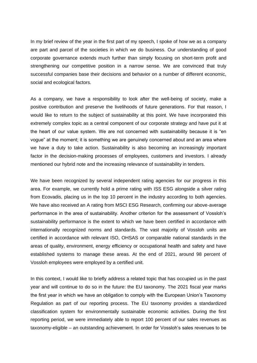In my brief review of the year in the first part of my speech, I spoke of how we as a company are part and parcel of the societies in which we do business. Our understanding of good corporate governance extends much further than simply focusing on short-term profit and strengthening our competitive position in a narrow sense. We are convinced that truly successful companies base their decisions and behavior on a number of different economic, social and ecological factors.

As a company, we have a responsibility to look after the well-being of society, make a positive contribution and preserve the livelihoods of future generations. For that reason, I would like to return to the subject of sustainability at this point. We have incorporated this extremely complex topic as a central component of our corporate strategy and have put it at the heart of our value system. We are not concerned with sustainability because it is "en vogue" at the moment; it is something we are genuinely concerned about and an area where we have a duty to take action. Sustainability is also becoming an increasingly important factor in the decision-making processes of employees, customers and investors. I already mentioned our hybrid note and the increasing relevance of sustainability in tenders.

We have been recognized by several independent rating agencies for our progress in this area. For example, we currently hold a prime rating with ISS ESG alongside a silver rating from Ecovadis, placing us in the top 10 percent in the industry according to both agencies. We have also received an A rating from MSCI ESG Research, confirming our above-average performance in the area of sustainability. Another criterion for the assessment of Vossloh's sustainability performance is the extent to which we have been certified in accordance with internationally recognized norms and standards. The vast majority of Vossloh units are certified in accordance with relevant ISO, OHSAS or comparable national standards in the areas of quality, environment, energy efficiency or occupational health and safety and have established systems to manage these areas. At the end of 2021, around 98 percent of Vossloh employees were employed by a certified unit.

In this context, I would like to briefly address a related topic that has occupied us in the past year and will continue to do so in the future: the EU taxonomy. The 2021 fiscal year marks the first year in which we have an obligation to comply with the European Union's Taxonomy Regulation as part of our reporting process. The EU taxonomy provides a standardized classification system for environmentally sustainable economic activities. During the first reporting period, we were immediately able to report 100 percent of our sales revenues as taxonomy-eligible – an outstanding achievement. In order for Vossloh's sales revenues to be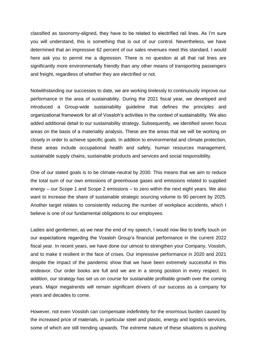classified as taxonomy-aligned, they have to be related to electrified rail lines. As I'm sure you will understand, this is something that is out of our control. Nevertheless, we have determined that an impressive 62 percent of our sales revenues meet this standard. I would here ask you to permit me a digression. There is no question at all that rail lines are significantly more environmentally friendly than any other means of transporting passengers and freight, regardless of whether they are electrified or not.

Notwithstanding our successes to date, we are working tirelessly to continuously improve our performance in the area of sustainability. During the 2021 fiscal year, we developed and introduced a Group-wide sustainability guideline that defines the principles and organizational framework for all of Vossloh's activities in the context of sustainability. We also added additional detail to our sustainability strategy. Subsequently, we identified seven focus areas on the basis of a materiality analysis. These are the areas that we will be working on closely in order to achieve specific goals. In addition to environmental and climate protection, these areas include occupational health and safety, human resources management, sustainable supply chains, sustainable products and services and social responsibility.

One of our stated goals is to be climate-neutral by 2030. This means that we aim to reduce the total sum of our own emissions of greenhouse gases and emissions related to supplied energy – our Scope 1 and Scope 2 emissions – to zero within the next eight years. We also want to increase the share of sustainable strategic sourcing volume to 90 percent by 2025. Another target relates to consistently reducing the number of workplace accidents, which I believe is one of our fundamental obligations to our employees.

Ladies and gentlemen, as we near the end of my speech, I would now like to briefly touch on our expectations regarding the Vossloh Group's financial performance in the current 2022 fiscal year. In recent years, we have done our utmost to strengthen your Company, Vossloh, and to make it resilient in the face of crises. Our impressive performance in 2020 and 2021 despite the impact of the pandemic show that we have been extremely successful in this endeavor. Our order books are full and we are in a strong position in every respect. In addition, our strategy has set us on course for sustainable profitable growth over the coming years. Major megatrends will remain significant drivers of our success as a company for years and decades to come.

However, not even Vossloh can compensate indefinitely for the enormous burden caused by the increased price of materials, in particular steel and plastic, energy and logistics services, some of which are still trending upwards. The extreme nature of these situations is pushing